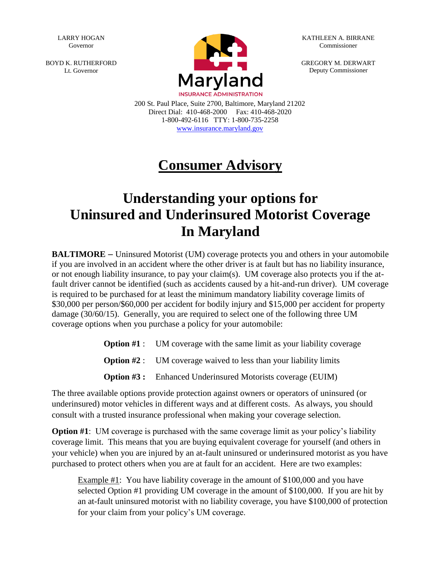LARRY HOGAN Governor

BOYD K. RUTHERFORD Lt. Governor



KATHLEEN A. BIRRANE Commissioner

GREGORY M. DERWART Deputy Commissioner

200 St. Paul Place, Suite 2700, Baltimore, Maryland 21202 Direct Dial: 410-468-2000 Fax: 410-468-2020 1-800-492-6116 TTY: 1-800-735-2258 www.insurance.maryland.gov

## **Consumer Advisory**

## **Understanding your options for Uninsured and Underinsured Motorist Coverage In Maryland**

**BALTIMORE** – Uninsured Motorist (UM) coverage protects you and others in your automobile if you are involved in an accident where the other driver is at fault but has no liability insurance, or not enough liability insurance, to pay your claim(s). UM coverage also protects you if the atfault driver cannot be identified (such as accidents caused by a hit-and-run driver). UM coverage is required to be purchased for at least the minimum mandatory liability coverage limits of \$30,000 per person/\$60,000 per accident for bodily injury and \$15,000 per accident for property damage (30/60/15). Generally, you are required to select one of the following three UM coverage options when you purchase a policy for your automobile:

**Option #1** : UM coverage with the same limit as your liability coverage

**Option #2** : UM coverage waived to less than your liability limits

**Option #3 :** Enhanced Underinsured Motorists coverage (EUIM)

The three available options provide protection against owners or operators of uninsured (or underinsured) motor vehicles in different ways and at different costs. As always, you should consult with a trusted insurance professional when making your coverage selection.

**Option #1**: UM coverage is purchased with the same coverage limit as your policy's liability coverage limit. This means that you are buying equivalent coverage for yourself (and others in your vehicle) when you are injured by an at-fault uninsured or underinsured motorist as you have purchased to protect others when you are at fault for an accident. Here are two examples:

Example #1: You have liability coverage in the amount of \$100,000 and you have selected Option #1 providing UM coverage in the amount of \$100,000. If you are hit by an at-fault uninsured motorist with no liability coverage, you have \$100,000 of protection for your claim from your policy's UM coverage.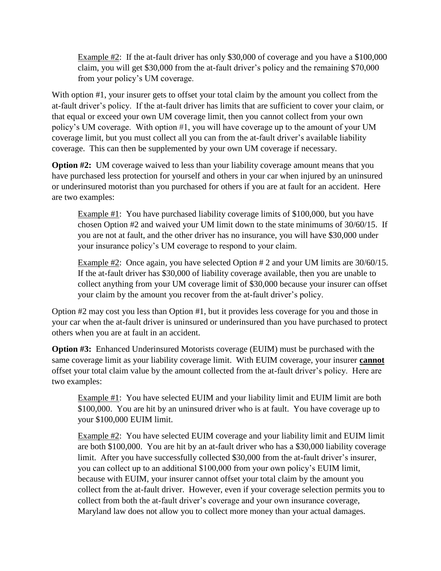Example #2: If the at-fault driver has only \$30,000 of coverage and you have a \$100,000 claim, you will get \$30,000 from the at-fault driver's policy and the remaining \$70,000 from your policy's UM coverage.

With option #1, your insurer gets to offset your total claim by the amount you collect from the at-fault driver's policy. If the at-fault driver has limits that are sufficient to cover your claim, or that equal or exceed your own UM coverage limit, then you cannot collect from your own policy's UM coverage. With option #1, you will have coverage up to the amount of your UM coverage limit, but you must collect all you can from the at-fault driver's available liability coverage. This can then be supplemented by your own UM coverage if necessary.

**Option #2:** UM coverage waived to less than your liability coverage amount means that you have purchased less protection for yourself and others in your car when injured by an uninsured or underinsured motorist than you purchased for others if you are at fault for an accident. Here are two examples:

Example #1: You have purchased liability coverage limits of \$100,000, but you have chosen Option #2 and waived your UM limit down to the state minimums of 30/60/15. If you are not at fault, and the other driver has no insurance, you will have \$30,000 under your insurance policy's UM coverage to respond to your claim.

Example #2: Once again, you have selected Option # 2 and your UM limits are 30/60/15. If the at-fault driver has \$30,000 of liability coverage available, then you are unable to collect anything from your UM coverage limit of \$30,000 because your insurer can offset your claim by the amount you recover from the at-fault driver's policy.

Option #2 may cost you less than Option #1, but it provides less coverage for you and those in your car when the at-fault driver is uninsured or underinsured than you have purchased to protect others when you are at fault in an accident.

**Option #3:** Enhanced Underinsured Motorists coverage (EUIM) must be purchased with the same coverage limit as your liability coverage limit. With EUIM coverage, your insurer **cannot** offset your total claim value by the amount collected from the at-fault driver's policy. Here are two examples:

Example #1: You have selected EUIM and your liability limit and EUIM limit are both \$100,000. You are hit by an uninsured driver who is at fault. You have coverage up to your \$100,000 EUIM limit.

Example #2: You have selected EUIM coverage and your liability limit and EUIM limit are both \$100,000. You are hit by an at-fault driver who has a \$30,000 liability coverage limit. After you have successfully collected \$30,000 from the at-fault driver's insurer, you can collect up to an additional \$100,000 from your own policy's EUIM limit, because with EUIM, your insurer cannot offset your total claim by the amount you collect from the at-fault driver. However, even if your coverage selection permits you to collect from both the at-fault driver's coverage and your own insurance coverage, Maryland law does not allow you to collect more money than your actual damages.